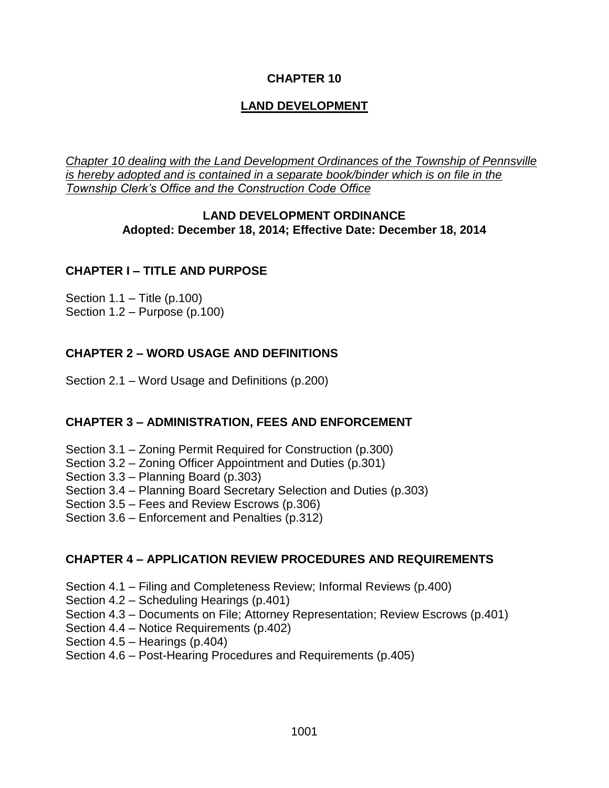## **CHAPTER 10**

# **LAND DEVELOPMENT**

*Chapter 10 dealing with the Land Development Ordinances of the Township of Pennsville is hereby adopted and is contained in a separate book/binder which is on file in the Township Clerk's Office and the Construction Code Office*

#### **LAND DEVELOPMENT ORDINANCE Adopted: December 18, 2014; Effective Date: December 18, 2014**

## **CHAPTER I – TITLE AND PURPOSE**

Section 1.1 – Title (p.100) Section 1.2 – Purpose (p.100)

## **CHAPTER 2 – WORD USAGE AND DEFINITIONS**

Section 2.1 – Word Usage and Definitions (p.200)

## **CHAPTER 3 – ADMINISTRATION, FEES AND ENFORCEMENT**

- Section 3.1 Zoning Permit Required for Construction (p.300)
- Section 3.2 Zoning Officer Appointment and Duties (p.301)
- Section 3.3 Planning Board (p.303)
- Section 3.4 Planning Board Secretary Selection and Duties (p.303)
- Section 3.5 Fees and Review Escrows (p.306)
- Section 3.6 Enforcement and Penalties (p.312)

## **CHAPTER 4 – APPLICATION REVIEW PROCEDURES AND REQUIREMENTS**

- Section 4.1 Filing and Completeness Review; Informal Reviews (p.400)
- Section 4.2 Scheduling Hearings (p.401)
- Section 4.3 Documents on File; Attorney Representation; Review Escrows (p.401)
- Section 4.4 Notice Requirements (p.402)
- Section 4.5 Hearings (p.404)

#### Section 4.6 – Post-Hearing Procedures and Requirements (p.405)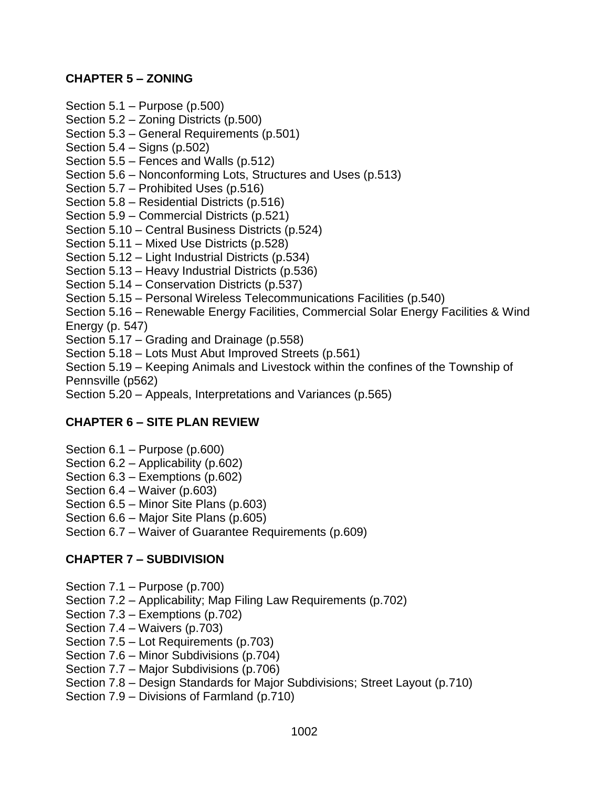## **CHAPTER 5 – ZONING**

Section 5.1 – Purpose (p.500)

- Section 5.2 Zoning Districts (p.500)
- Section 5.3 General Requirements (p.501)
- Section 5.4 Signs (p.502)
- Section 5.5 Fences and Walls (p.512)
- Section 5.6 Nonconforming Lots, Structures and Uses (p.513)
- Section 5.7 Prohibited Uses (p.516)
- Section 5.8 Residential Districts (p.516)
- Section 5.9 Commercial Districts (p.521)
- Section 5.10 Central Business Districts (p.524)
- Section 5.11 Mixed Use Districts (p.528)
- Section 5.12 Light Industrial Districts (p.534)
- Section 5.13 Heavy Industrial Districts (p.536)
- Section 5.14 Conservation Districts (p.537)
- Section 5.15 Personal Wireless Telecommunications Facilities (p.540)
- Section 5.16 Renewable Energy Facilities, Commercial Solar Energy Facilities & Wind Energy (p. 547)
- Section 5.17 Grading and Drainage (p.558)
- Section 5.18 Lots Must Abut Improved Streets (p.561)
- Section 5.19 Keeping Animals and Livestock within the confines of the Township of Pennsville (p562)
- Section 5.20 Appeals, Interpretations and Variances (p.565)

# **CHAPTER 6 – SITE PLAN REVIEW**

- Section 6.1 Purpose (p.600)
- Section 6.2 Applicability (p.602)
- Section 6.3 Exemptions (p.602)
- Section 6.4 Waiver (p.603)
- Section 6.5 Minor Site Plans (p.603)
- Section 6.6 Major Site Plans (p.605)
- Section 6.7 Waiver of Guarantee Requirements (p.609)

## **CHAPTER 7 – SUBDIVISION**

- Section 7.1 Purpose (p.700)
- Section 7.2 Applicability; Map Filing Law Requirements (p.702)
- Section 7.3 Exemptions (p.702)
- Section 7.4 Waivers (p.703)
- Section 7.5 Lot Requirements (p.703)
- Section 7.6 Minor Subdivisions (p.704)
- Section 7.7 Major Subdivisions (p.706)
- Section 7.8 Design Standards for Major Subdivisions; Street Layout (p.710)
- Section 7.9 Divisions of Farmland (p.710)